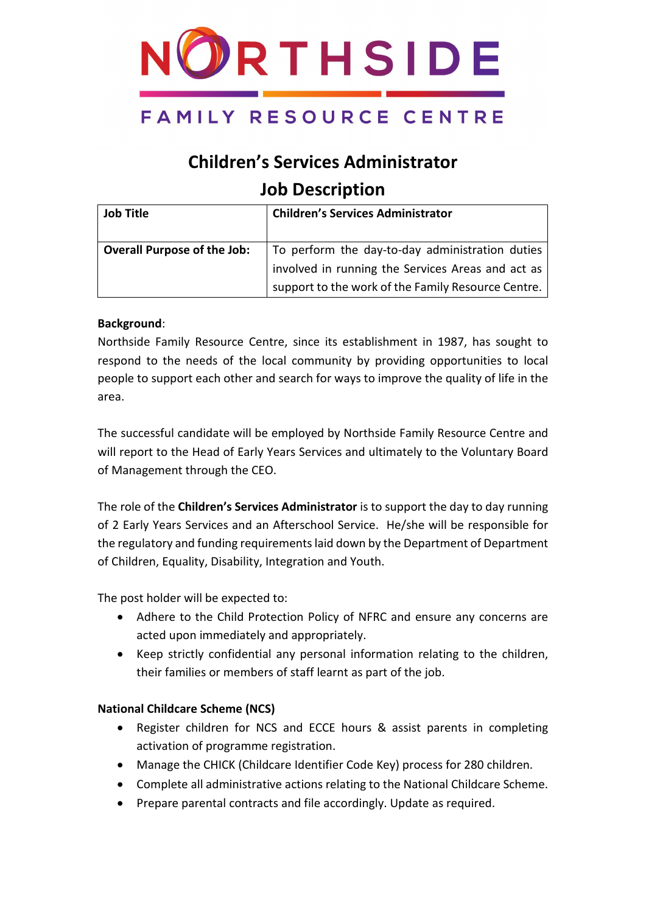

# **Children's Services Administrator Job Description**

| <b>Job Title</b>                   | <b>Children's Services Administrator</b>           |
|------------------------------------|----------------------------------------------------|
|                                    |                                                    |
| <b>Overall Purpose of the Job:</b> | To perform the day-to-day administration duties    |
|                                    | involved in running the Services Areas and act as  |
|                                    | support to the work of the Family Resource Centre. |

#### **Background**:

Northside Family Resource Centre, since its establishment in 1987, has sought to respond to the needs of the local community by providing opportunities to local people to support each other and search for ways to improve the quality of life in the area.

The successful candidate will be employed by Northside Family Resource Centre and will report to the Head of Early Years Services and ultimately to the Voluntary Board of Management through the CEO.

The role of the **Children's Services Administrator** is to support the day to day running of 2 Early Years Services and an Afterschool Service. He/she will be responsible for the regulatory and funding requirements laid down by the Department of Department of Children, Equality, Disability, Integration and Youth.

The post holder will be expected to:

- Adhere to the Child Protection Policy of NFRC and ensure any concerns are acted upon immediately and appropriately.
- Keep strictly confidential any personal information relating to the children, their families or members of staff learnt as part of the job.

#### **National Childcare Scheme (NCS)**

- Register children for NCS and ECCE hours & assist parents in completing activation of programme registration.
- Manage the CHICK (Childcare Identifier Code Key) process for 280 children.
- Complete all administrative actions relating to the National Childcare Scheme.
- Prepare parental contracts and file accordingly. Update as required.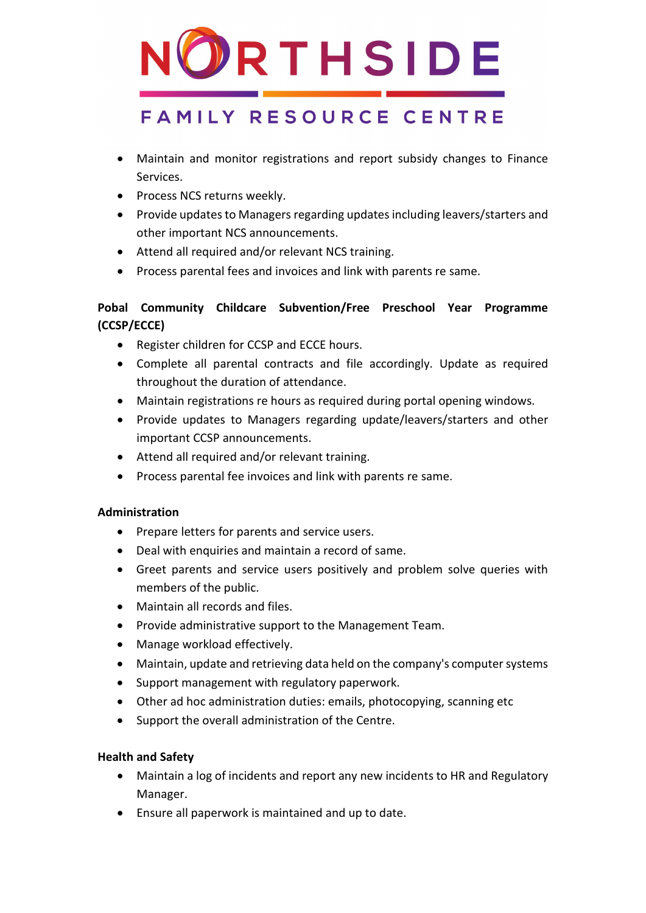

- Maintain and monitor registrations and report subsidy changes to Finance Services.
- Process NCS returns weekly.
- Provide updates to Managers regarding updates including leavers/starters and other important NCS announcements.
- Attend all required and/or relevant NCS training.
- Process parental fees and invoices and link with parents re same.

### **Pobal Community Childcare Subvention/Free Preschool Year Programme (CCSP/ECCE)**

- Register children for CCSP and ECCE hours.
- Complete all parental contracts and file accordingly. Update as required throughout the duration of attendance.
- Maintain registrations re hours as required during portal opening windows.
- Provide updates to Managers regarding update/leavers/starters and other important CCSP announcements.
- Attend all required and/or relevant training.
- Process parental fee invoices and link with parents re same.

### **Administration**

- Prepare letters for parents and service users.
- Deal with enquiries and maintain a record of same.
- Greet parents and service users positively and problem solve queries with members of the public.
- Maintain all records and files.
- Provide administrative support to the Management Team.
- Manage workload effectively.
- Maintain, update and retrieving data held on the company's computer systems
- Support management with regulatory paperwork.
- Other ad hoc administration duties: emails, photocopying, scanning etc
- Support the overall administration of the Centre.

### **Health and Safety**

- Maintain a log of incidents and report any new incidents to HR and Regulatory Manager.
- Ensure all paperwork is maintained and up to date.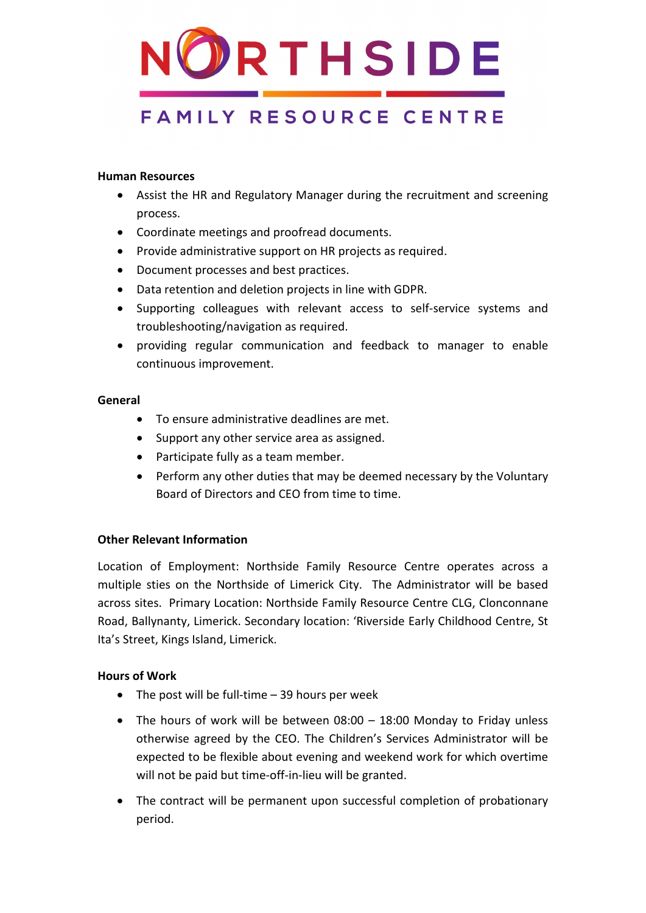

#### **Human Resources**

- Assist the HR and Regulatory Manager during the recruitment and screening process.
- Coordinate meetings and proofread documents.
- Provide administrative support on HR projects as required.
- Document processes and best practices.
- Data retention and deletion projects in line with GDPR.
- Supporting colleagues with relevant access to self-service systems and troubleshooting/navigation as required.
- providing regular communication and feedback to manager to enable continuous improvement.

#### **General**

- To ensure administrative deadlines are met.
- Support any other service area as assigned.
- Participate fully as a team member.
- Perform any other duties that may be deemed necessary by the Voluntary Board of Directors and CEO from time to time.

#### **Other Relevant Information**

Location of Employment: Northside Family Resource Centre operates across a multiple sties on the Northside of Limerick City. The Administrator will be based across sites. Primary Location: Northside Family Resource Centre CLG, Clonconnane Road, Ballynanty, Limerick. Secondary location: 'Riverside Early Childhood Centre, St Ita's Street, Kings Island, Limerick.

#### **Hours of Work**

- The post will be full-time 39 hours per week
- The hours of work will be between 08:00 18:00 Monday to Friday unless otherwise agreed by the CEO. The Children's Services Administrator will be expected to be flexible about evening and weekend work for which overtime will not be paid but time-off-in-lieu will be granted.
- The contract will be permanent upon successful completion of probationary period.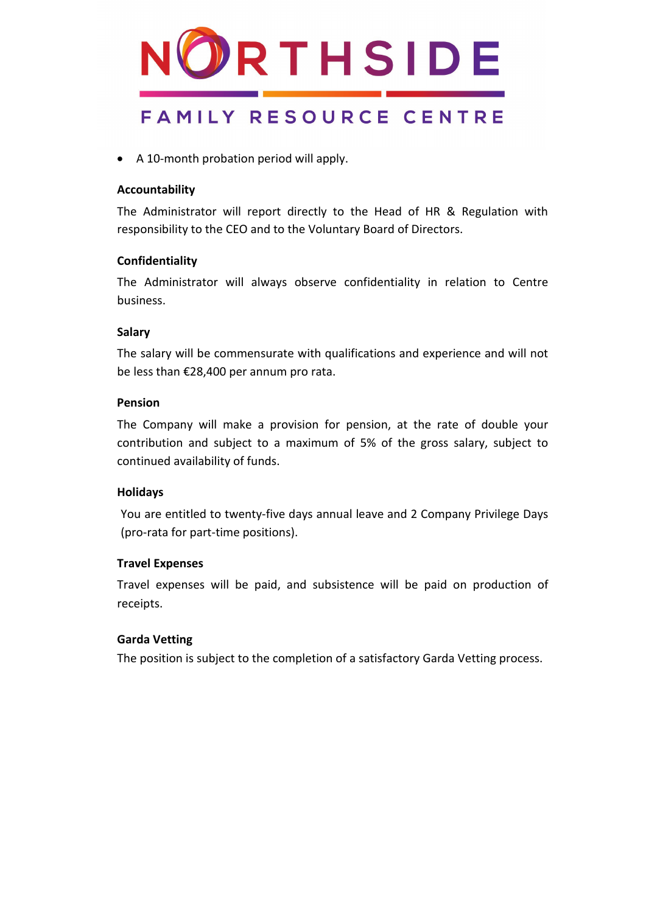

• A 10-month probation period will apply.

#### **Accountability**

The Administrator will report directly to the Head of HR & Regulation with responsibility to the CEO and to the Voluntary Board of Directors.

#### **Confidentiality**

The Administrator will always observe confidentiality in relation to Centre business.

#### **Salary**

The salary will be commensurate with qualifications and experience and will not be less than €28,400 per annum pro rata.

#### **Pension**

The Company will make a provision for pension, at the rate of double your contribution and subject to a maximum of 5% of the gross salary, subject to continued availability of funds.

#### **Holidays**

You are entitled to twenty-five days annual leave and 2 Company Privilege Days (pro-rata for part-time positions).

#### **Travel Expenses**

Travel expenses will be paid, and subsistence will be paid on production of receipts.

#### **Garda Vetting**

The position is subject to the completion of a satisfactory Garda Vetting process.